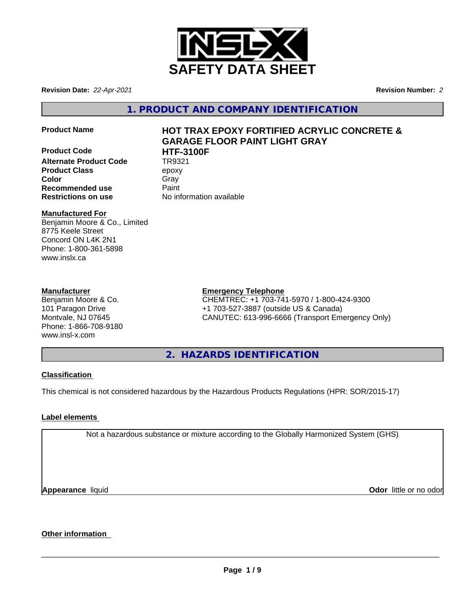

**Revision Date:** *22-Apr-2021* **Revision Number:** *2*

**1. PRODUCT AND COMPANY IDENTIFICATION**

**Product Code HTF-3100F Alternate Product Code Product Class** epoxy **Color** Gray Gray **Recommended use** Paint **Restrictions on use** No information available

# **Product Name HOT TRAX EPOXY FORTIFIED ACRYLIC CONCRETE & GARAGE FLOOR PAINT LIGHT GRAY**

## **Manufactured For**

Benjamin Moore & Co., Limited 8775 Keele Street Concord ON L4K 2N1 Phone: 1-800-361-5898 www.inslx.ca

## **Manufacturer**

Benjamin Moore & Co. 101 Paragon Drive Montvale, NJ 07645 Phone: 1-866-708-9180 www.insl-x.com

## **Emergency Telephone**

CHEMTREC: +1 703-741-5970 / 1-800-424-9300 +1 703-527-3887 (outside US & Canada) CANUTEC: 613-996-6666 (Transport Emergency Only)

**2. HAZARDS IDENTIFICATION**

# **Classification**

This chemical is not considered hazardous by the Hazardous Products Regulations (HPR: SOR/2015-17)

# **Label elements**

Not a hazardous substance or mixture according to the Globally Harmonized System (GHS)

**Appearance** liquid

**Odor** little or no odor

# **Other information**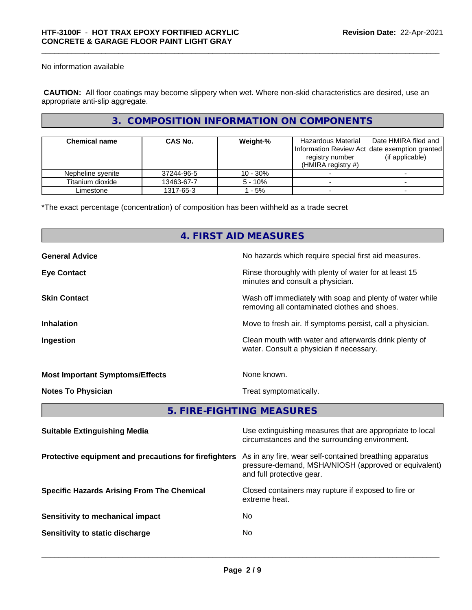No information available

 **CAUTION:** All floor coatings may become slippery when wet. Where non-skid characteristics are desired, use an appropriate anti-slip aggregate.

# **3. COMPOSITION INFORMATION ON COMPONENTS**

| <b>Chemical name</b> | <b>CAS No.</b> | Weight-%   | Hazardous Material<br>registry number<br>(HMIRA registry $#$ ) | Date HMIRA filed and<br>Information Review Act Idate exemption granted<br>(if applicable) |
|----------------------|----------------|------------|----------------------------------------------------------------|-------------------------------------------------------------------------------------------|
| Nepheline syenite    | 37244-96-5     | $10 - 30%$ |                                                                |                                                                                           |
| Titanium dioxide     | 13463-67-7     | $5 - 10%$  |                                                                |                                                                                           |
| Limestone            | 1317-65-3      | - 5%       |                                                                |                                                                                           |

\*The exact percentage (concentration) of composition has been withheld as a trade secret

|                                        | 4. FIRST AID MEASURES                                                                                    |
|----------------------------------------|----------------------------------------------------------------------------------------------------------|
| <b>General Advice</b>                  | No hazards which require special first aid measures.                                                     |
| <b>Eye Contact</b>                     | Rinse thoroughly with plenty of water for at least 15<br>minutes and consult a physician.                |
| <b>Skin Contact</b>                    | Wash off immediately with soap and plenty of water while<br>removing all contaminated clothes and shoes. |
| <b>Inhalation</b>                      | Move to fresh air. If symptoms persist, call a physician.                                                |
| Ingestion                              | Clean mouth with water and afterwards drink plenty of<br>water. Consult a physician if necessary.        |
| <b>Most Important Symptoms/Effects</b> | None known.                                                                                              |
| <b>Notes To Physician</b>              | Treat symptomatically.                                                                                   |
|                                        | 5. FIRE-FIGHTING MEASURES                                                                                |

| <b>Suitable Extinguishing Media</b>                   | Use extinguishing measures that are appropriate to local<br>circumstances and the surrounding environment.                                   |
|-------------------------------------------------------|----------------------------------------------------------------------------------------------------------------------------------------------|
| Protective equipment and precautions for firefighters | As in any fire, wear self-contained breathing apparatus<br>pressure-demand, MSHA/NIOSH (approved or equivalent)<br>and full protective gear. |
| <b>Specific Hazards Arising From The Chemical</b>     | Closed containers may rupture if exposed to fire or<br>extreme heat.                                                                         |
| Sensitivity to mechanical impact                      | No.                                                                                                                                          |
| Sensitivity to static discharge                       | No                                                                                                                                           |
|                                                       |                                                                                                                                              |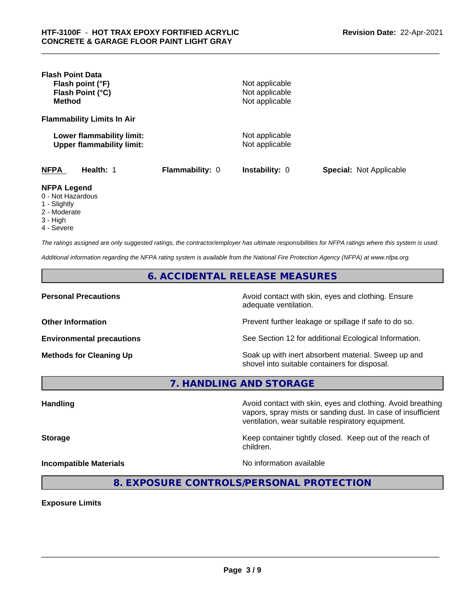| <b>Flash Point Data</b><br>Flash point (°F)<br>Flash Point (°C)<br><b>Method</b> |                 | Not applicable<br>Not applicable<br>Not applicable |                                |
|----------------------------------------------------------------------------------|-----------------|----------------------------------------------------|--------------------------------|
| <b>Flammability Limits In Air</b>                                                |                 |                                                    |                                |
| Lower flammability limit:<br><b>Upper flammability limit:</b>                    |                 | Not applicable<br>Not applicable                   |                                |
| <b>NFPA</b><br>Health: 1                                                         | Flammability: 0 | <b>Instability: 0</b>                              | <b>Special: Not Applicable</b> |
| <b>NFPA Legend</b><br>0 - Not Hazardous<br>1 - Slightly                          |                 |                                                    |                                |

- 2 Moderate
- 3 High
- 4 Severe

*The ratings assigned are only suggested ratings, the contractor/employer has ultimate responsibilities for NFPA ratings where this system is used.*

*Additional information regarding the NFPA rating system is available from the National Fire Protection Agency (NFPA) at www.nfpa.org.*

**6. ACCIDENTAL RELEASE MEASURES**

**Personal Precautions Precautions** Avoid contact with skin, eyes and clothing. Ensure adequate ventilation.

**Other Information Other Information Prevent further leakage or spillage if safe to do so.** 

**Environmental precautions** See Section 12 for additional Ecological Information.

**Methods for Cleaning Up Soak up with inert absorbent material. Sweep up and** shovel into suitable containers for disposal.

vapors, spray mists or sanding dust. In case of insufficient

ventilation, wear suitable respiratory equipment.

**7. HANDLING AND STORAGE**

Handling **Handling Avoid contact with skin, eyes and clothing. Avoid breathing Handling** 

**Storage Keep container tightly closed. Keep out of the reach of Keep** container tightly closed. Keep out of the reach of

**Incompatible Materials** Noinformation available

 $\overline{\phantom{a}}$  ,  $\overline{\phantom{a}}$  ,  $\overline{\phantom{a}}$  ,  $\overline{\phantom{a}}$  ,  $\overline{\phantom{a}}$  ,  $\overline{\phantom{a}}$  ,  $\overline{\phantom{a}}$  ,  $\overline{\phantom{a}}$  ,  $\overline{\phantom{a}}$  ,  $\overline{\phantom{a}}$  ,  $\overline{\phantom{a}}$  ,  $\overline{\phantom{a}}$  ,  $\overline{\phantom{a}}$  ,  $\overline{\phantom{a}}$  ,  $\overline{\phantom{a}}$  ,  $\overline{\phantom{a}}$ 

**8. EXPOSURE CONTROLS/PERSONAL PROTECTION**

children.

**Exposure Limits**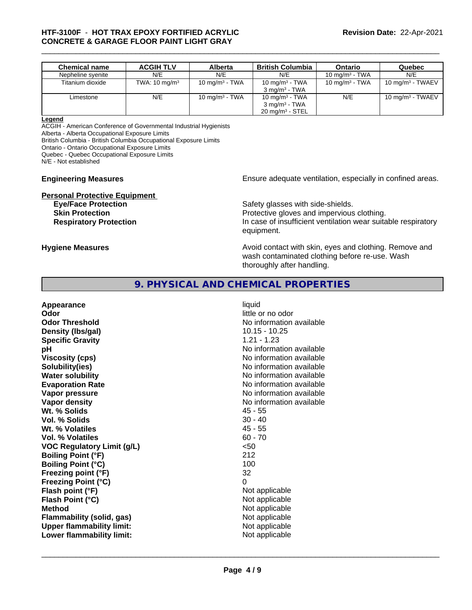| <b>Chemical name</b> | <b>ACGIH TLV</b>         | Alberta           | <b>British Columbia</b>    | Ontario           | Quebec              |
|----------------------|--------------------------|-------------------|----------------------------|-------------------|---------------------|
| Nepheline syenite    | N/E                      | N/E               | N/E                        | 10 mg/m $3$ - TWA | N/E                 |
| Titanium dioxide     | TWA: $10 \text{ mg/m}^3$ | 10 mg/m $3$ - TWA | 10 mg/m $3$ - TWA          | 10 mg/m $3$ - TWA | 10 mg/m $3$ - TWAEV |
|                      |                          |                   | $3 \text{ ma/m}^3$ - TWA   |                   |                     |
| Limestone            | N/E                      | 10 mg/m $3$ - TWA | 10 mg/m $3$ - TWA          | N/E               | 10 mg/m $3$ - TWAEV |
|                      |                          |                   | $3 \text{ ma/m}^3$ - TWA   |                   |                     |
|                      |                          |                   | $20 \text{ mg/m}^3$ - STEL |                   |                     |

#### **Legend**

ACGIH - American Conference of Governmental Industrial Hygienists

Alberta - Alberta Occupational Exposure Limits

British Columbia - British Columbia Occupational Exposure Limits

Ontario - Ontario Occupational Exposure Limits

Quebec - Quebec Occupational Exposure Limits

N/E - Not established

# **Personal Protective Equipment**<br> **Eve/Face Protection**

**Engineering Measures Ensure** Ensure adequate ventilation, especially in confined areas.

Safety glasses with side-shields. **Skin Protection Protection Protective gloves and impervious clothing. Respiratory Protection In case of insufficient ventilation wear suitable respiratory** equipment.

**Hygiene Measures Avoid contact with skin, eyes and clothing. Remove and Avoid contact with skin, eyes and clothing. Remove and Avoid contact with skin, eyes and clothing. Remove and** wash contaminated clothing before re-use. Wash thoroughly after handling.

# **9. PHYSICAL AND CHEMICAL PROPERTIES**

| liquid<br>little or no odor<br>No information available<br>$10.15 - 10.25$<br>$1.21 - 1.23$<br>No information available<br>No information available<br>No information available<br>No information available<br>No information available<br>No information available<br>No information available<br>$45 - 55$<br>$30 - 40$<br>$45 - 55$<br>$60 - 70$<br>$50$<br>212<br>100<br>32<br>0<br>Not applicable<br>Not applicable<br>Not applicable<br>Not applicable |
|--------------------------------------------------------------------------------------------------------------------------------------------------------------------------------------------------------------------------------------------------------------------------------------------------------------------------------------------------------------------------------------------------------------------------------------------------------------|
| Not applicable                                                                                                                                                                                                                                                                                                                                                                                                                                               |
| Not applicable                                                                                                                                                                                                                                                                                                                                                                                                                                               |
|                                                                                                                                                                                                                                                                                                                                                                                                                                                              |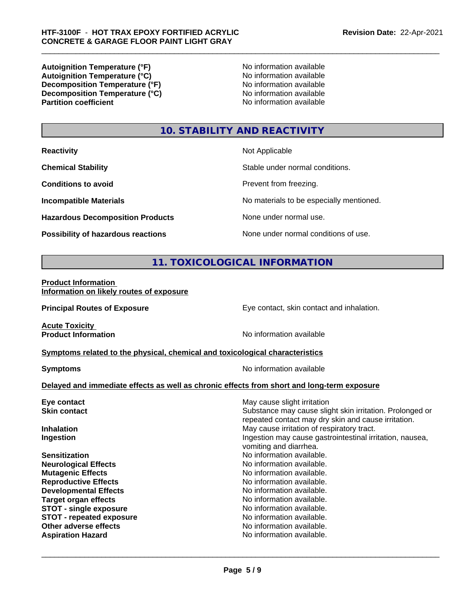**Autoignition Temperature (°F)**<br> **Autoignition Temperature (°C)** No information available **Autoignition Temperature (°C)**<br> **Decomposition Temperature (°F)** No information available **Decomposition Temperature (°F) Decomposition Temperature (°C)**<br> **Partition coefficient**<br> **Partition coefficient**<br> **No** information available

**No information available** 

# **10. STABILITY AND REACTIVITY**

| <b>Reactivity</b> |  |
|-------------------|--|
|                   |  |

**Hazardous Decomposition Products** None under normal use.

**Not Applicable** 

**Chemical Stability Chemical Stability** Stable under normal conditions.

**Conditions to avoid Prevent from freezing.** 

**Incompatible Materials No materials** No materials to be especially mentioned.

**Possibility of hazardous reactions** None under normal conditions of use.

# **11. TOXICOLOGICAL INFORMATION**

**Product Information Information on likely routes of exposure**

**Principal Routes of Exposure Exposure** Eye contact, skin contact and inhalation.

**Acute Toxicity<br>Product Information** 

**No information available** 

**Symptoms related to the physical,chemical and toxicological characteristics**

**Symptoms** No information available

 $\overline{\phantom{a}}$  ,  $\overline{\phantom{a}}$  ,  $\overline{\phantom{a}}$  ,  $\overline{\phantom{a}}$  ,  $\overline{\phantom{a}}$  ,  $\overline{\phantom{a}}$  ,  $\overline{\phantom{a}}$  ,  $\overline{\phantom{a}}$  ,  $\overline{\phantom{a}}$  ,  $\overline{\phantom{a}}$  ,  $\overline{\phantom{a}}$  ,  $\overline{\phantom{a}}$  ,  $\overline{\phantom{a}}$  ,  $\overline{\phantom{a}}$  ,  $\overline{\phantom{a}}$  ,  $\overline{\phantom{a}}$ 

## **Delayed and immediate effects as well as chronic effects from short and long-term exposure**

| Eye contact                     | May cause slight irritation                                                                                     |
|---------------------------------|-----------------------------------------------------------------------------------------------------------------|
| <b>Skin contact</b>             | Substance may cause slight skin irritation. Prolonged or<br>repeated contact may dry skin and cause irritation. |
| <b>Inhalation</b>               | May cause irritation of respiratory tract.                                                                      |
| Ingestion                       | Ingestion may cause gastrointestinal irritation, nausea,<br>vomiting and diarrhea.                              |
| <b>Sensitization</b>            | No information available.                                                                                       |
| <b>Neurological Effects</b>     | No information available.                                                                                       |
| <b>Mutagenic Effects</b>        | No information available.                                                                                       |
| <b>Reproductive Effects</b>     | No information available.                                                                                       |
| <b>Developmental Effects</b>    | No information available.                                                                                       |
| <b>Target organ effects</b>     | No information available.                                                                                       |
| <b>STOT - single exposure</b>   | No information available.                                                                                       |
| <b>STOT - repeated exposure</b> | No information available.                                                                                       |
| Other adverse effects           | No information available.                                                                                       |
| <b>Aspiration Hazard</b>        | No information available.                                                                                       |
|                                 |                                                                                                                 |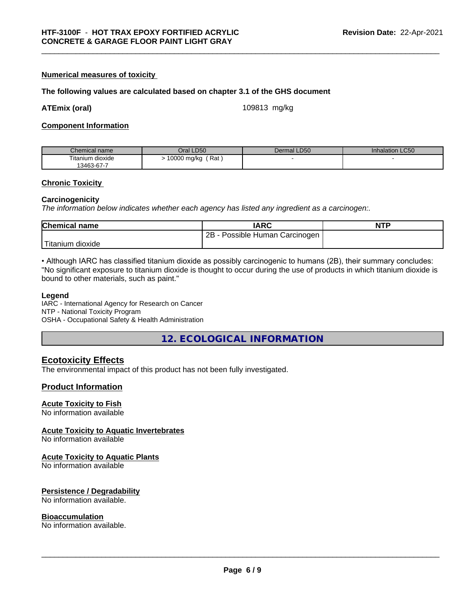#### **Numerical measures of toxicity**

#### **The following values are calculated based on chapter 3.1 of the GHS document**

**ATEmix (oral)** 109813 mg/kg

#### **Component Information**

| Chemical name                   | Oral LD50          | <b>LD50</b><br>Dermal | <b>Inhalation LC50</b> |
|---------------------------------|--------------------|-----------------------|------------------------|
| $- \cdot$ .<br>Fitanium dioxide | Rat<br>10000 mg/kg |                       |                        |
| 13463-67-7                      |                    |                       |                        |

#### **Chronic Toxicity**

#### **Carcinogenicity**

*The information below indicateswhether each agency has listed any ingredient as a carcinogen:.*

| <b>Chemical name</b>  | <b>IARC</b>                     | <b>NTP</b> |
|-----------------------|---------------------------------|------------|
|                       | Possible Human Carcinogen<br>2B |            |
| ' Titanium<br>dioxide |                                 |            |

• Although IARC has classified titanium dioxide as possibly carcinogenic to humans (2B), their summary concludes: "No significant exposure to titanium dioxide is thought to occur during the use of products in which titanium dioxide is bound to other materials, such as paint."

#### **Legend**

IARC - International Agency for Research on Cancer NTP - National Toxicity Program OSHA - Occupational Safety & Health Administration

**12. ECOLOGICAL INFORMATION**

## **Ecotoxicity Effects**

The environmental impact of this product has not been fully investigated.

#### **Product Information**

#### **Acute Toxicity to Fish**

No information available

#### **Acute Toxicity to Aquatic Invertebrates**

No information available

#### **Acute Toxicity to Aquatic Plants**

No information available

#### **Persistence / Degradability**

No information available.

#### **Bioaccumulation**

No information available.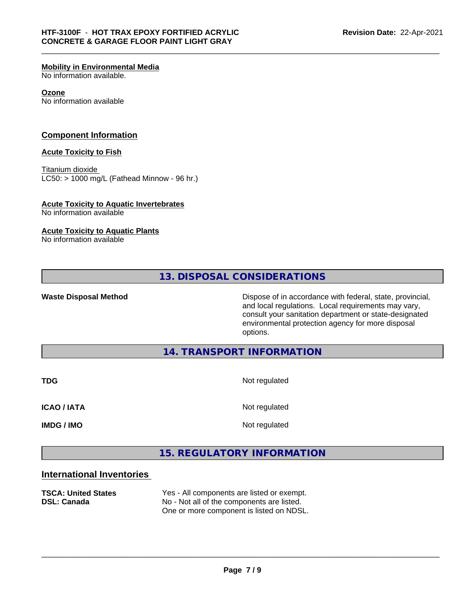#### **Mobility in Environmental Media**

No information available.

#### **Ozone**

No information available

#### **Component Information**

#### **Acute Toxicity to Fish**

Titanium dioxide  $LC50:$  > 1000 mg/L (Fathead Minnow - 96 hr.)

#### **Acute Toxicity to Aquatic Invertebrates**

No information available

#### **Acute Toxicity to Aquatic Plants**

No information available

**13. DISPOSAL CONSIDERATIONS**

**Waste Disposal Method Dispose of in accordance with federal, state, provincial,** and local regulations. Local requirements may vary, consult your sanitation department or state-designated environmental protection agency for more disposal options.

## **14. TRANSPORT INFORMATION**

**TDG** Not regulated **ICAO / IATA** Not regulated **IMDG / IMO** Not regulated

# **15. REGULATORY INFORMATION**

# **International Inventories**

**TSCA: United States** Yes - All components are listed or exempt. **DSL: Canada** No - Not all of the components are listed. One or more component is listed on NDSL.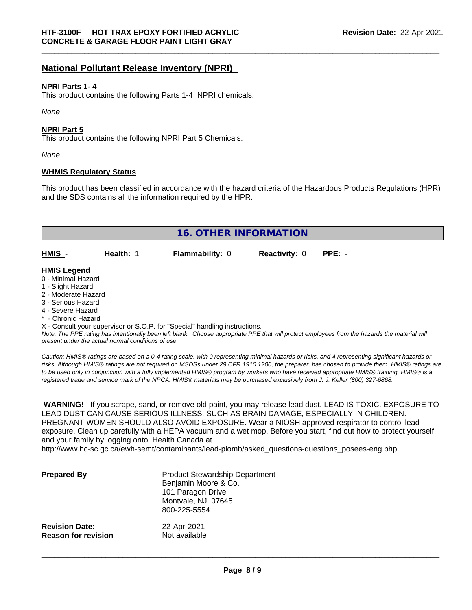# **National Pollutant Release Inventory (NPRI)**

#### **NPRI Parts 1- 4**

This product contains the following Parts 1-4 NPRI chemicals:

*None*

#### **NPRI Part 5**

This product contains the following NPRI Part 5 Chemicals:

*None*

#### **WHMIS Regulatory Status**

This product has been classified in accordance with the hazard criteria of the Hazardous Products Regulations (HPR) and the SDS contains all the information required by the HPR.

| <b>16. OTHER INFORMATION</b>                                                                                                                                                                                |           |                                                                            |                      |                                                                                                                                               |
|-------------------------------------------------------------------------------------------------------------------------------------------------------------------------------------------------------------|-----------|----------------------------------------------------------------------------|----------------------|-----------------------------------------------------------------------------------------------------------------------------------------------|
| HMIS -                                                                                                                                                                                                      | Health: 1 | <b>Flammability: 0</b>                                                     | <b>Reactivity: 0</b> | $PPE: -$                                                                                                                                      |
| <b>HMIS Legend</b><br>0 - Minimal Hazard<br>1 - Slight Hazard<br>2 - Moderate Hazard<br>3 - Serious Hazard<br>4 - Severe Hazard<br>* - Chronic Hazard<br>present under the actual normal conditions of use. |           | X - Consult your supervisor or S.O.P. for "Special" handling instructions. |                      | Note: The PPE rating has intentionally been left blank. Choose appropriate PPE that will protect employees from the hazards the material will |

*Caution: HMISÒ ratings are based on a 0-4 rating scale, with 0 representing minimal hazards or risks, and 4 representing significant hazards or risks. Although HMISÒ ratings are not required on MSDSs under 29 CFR 1910.1200, the preparer, has chosen to provide them. HMISÒ ratings are to be used only in conjunction with a fully implemented HMISÒ program by workers who have received appropriate HMISÒ training. HMISÒ is a registered trade and service mark of the NPCA. HMISÒ materials may be purchased exclusively from J. J. Keller (800) 327-6868.*

 **WARNING!** If you scrape, sand, or remove old paint, you may release lead dust. LEAD IS TOXIC. EXPOSURE TO LEAD DUST CAN CAUSE SERIOUS ILLNESS, SUCH AS BRAIN DAMAGE, ESPECIALLY IN CHILDREN. PREGNANT WOMEN SHOULD ALSO AVOID EXPOSURE.Wear a NIOSH approved respirator to control lead exposure. Clean up carefully with a HEPA vacuum and a wet mop. Before you start, find out how to protect yourself and your family by logging onto Health Canada at

http://www.hc-sc.gc.ca/ewh-semt/contaminants/lead-plomb/asked\_questions-questions\_posees-eng.php.

| <b>Prepared By</b>         | <b>Product Stewardship Department</b><br>Benjamin Moore & Co.<br>101 Paragon Drive<br>Montvale, NJ 07645<br>800-225-5554 |
|----------------------------|--------------------------------------------------------------------------------------------------------------------------|
| <b>Revision Date:</b>      | 22-Apr-2021                                                                                                              |
| <b>Reason for revision</b> | Not available                                                                                                            |